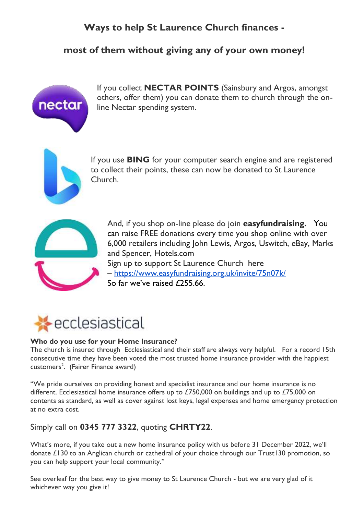## **Ways to help St Laurence Church finances -**

### **most of them without giving any of your own money!**



If you collect **NECTAR POINTS** (Sainsbury and Argos, amongst others, offer them) you can donate them to church through the online Nectar spending system.



If you use **BING** for your computer search engine and are registered to collect their points, these can now be donated to St Laurence Church.



And, if you shop on-line please do join **easyfundraising.** You can raise FREE donations every time you shop online with over 6,000 retailers including John Lewis, Argos, Uswitch, eBay, Marks and Spencer, Hotels.com Sign up to support St Laurence Church here – [https://www.easyfundraising.org.uk/invite/75n07k/](about:blank)  So far we've raised £255.66.



#### **Who do you use for your Home Insurance?**

The church is insured through Ecclesiastical and their staff are always very helpful. For a record 15th consecutive time they have been voted the most trusted home insurance provider with the happiest customers<sup>2</sup>. (Fairer Finance award)

"We pride ourselves on providing honest and specialist insurance and our home insurance is no different. Ecclesiastical home insurance offers up to £750,000 on buildings and up to £75,000 on contents as standard, as well as cover against lost keys, legal expenses and home emergency protection at no extra cost.

#### Simply call on **0345 777 3322**, quoting **CHRTY22**.

What's more, if you take out a new home insurance policy with us before 31 December 2022, we'll donate £130 to an Anglican church or cathedral of your choice through our Trust130 promotion, so you can help support your local community."

See overleaf for the best way to give money to St Laurence Church - but we are very glad of it whichever way you give it!